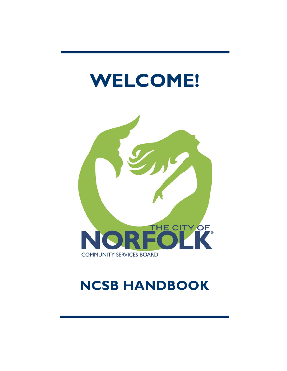# **WELCOME!**



# **NCSB HANDBOOK**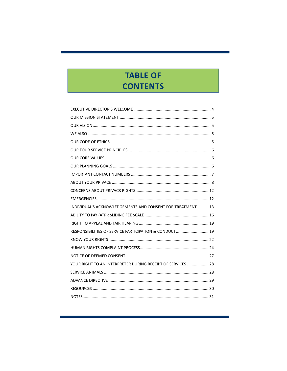# **TABLE OF CONTENTS**

| INDIVIDUAL'S ACKNOWLEDGEMENTS AND CONSENT FOR TREATMENT  13 |  |
|-------------------------------------------------------------|--|
|                                                             |  |
|                                                             |  |
| RESPONSIBILITIES OF SERVICE PARTICIPATION & CONDUCT 19      |  |
|                                                             |  |
|                                                             |  |
|                                                             |  |
| YOUR RIGHT TO AN INTERPRETER DURING RECEIPT OF SERVICES  28 |  |
|                                                             |  |
|                                                             |  |
|                                                             |  |
|                                                             |  |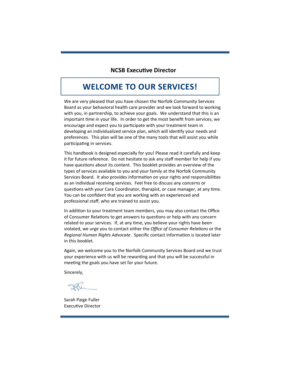#### **NCSB ExecuƟve Director**

### **WELCOME TO OUR SERVICES!**

We are very pleased that you have chosen the Norfolk Community Services Board as your behavioral health care provider and we look forward to working with you, in partnership, to achieve your goals. We understand that this is an important time in your life. In order to get the most benefit from services, we encourage and expect you to participate with your treatment team in developing an individualized service plan, which will identify your needs and preferences. This plan will be one of the many tools that will assist you while participating in services.

This handbook is designed especially for you! Please read it carefully and keep it for future reference. Do not hesitate to ask any staff member for help if you have questions about its content. This booklet provides an overview of the types of services available to you and your family at the Norfolk Community Services Board. It also provides information on your rights and responsibilities as an individual receiving services. Feel free to discuss any concerns or questions with your Care Coordinator, therapist, or case manager, at any time. You can be confident that you are working with an experienced and professional staff, who are trained to assist you.

In addition to your treatment team members, you may also contact the Office of Consumer Relations to get answers to questions or help with any concern related to your services. If, at any time, you believe your rights have been violated, we urge you to contact either the *Office of Consumer Relations* or the *Regional Human Rights Advocate*. Specific contact informaƟon is located later in this booklet.

Again, we welcome you to the Norfolk Community Services Board and we trust your experience with us will be rewarding and that you will be successful in meeting the goals you have set for your future.

Sincerely,

Sarah Paige Fuller Executive Director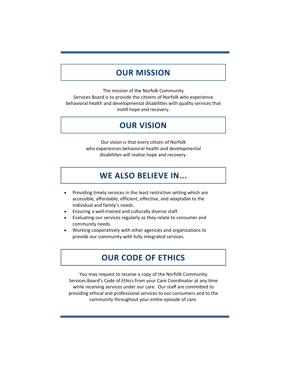### **OUR MISSION**

The mission of the Norfolk Community Services Board is to provide the citizens of Norfolk who experience behavioral health and developmental disabilities with quality services that instill hope and recovery.

## **OUR VISION**

Our vision is that every citizen of Norfolk who experiences behavioral health and developmental disabilities will realize hope and recovery.

### **WE ALSO BELIEVE IN...**

- Providing timely services in the least restrictive setting which are accessible, affordable, efficient, effective, and adaptable to the individual and family's needs.
- Ensuring a well‐trained and culturally diverse staff.
- Evaluating our services regularly as they relate to consumer and community needs.
- Working cooperatively with other agencies and organizations to provide our community with fully integrated services.

## **OUR CODE OF ETHICS**

You may request to receive a copy of the Norfolk Community Services Board's Code of Ethics from your Care Coordinator at any time while receiving services under our care. Our staff are committed to providing ethical and professional services to our consumers and to the community throughout your entire episode of care.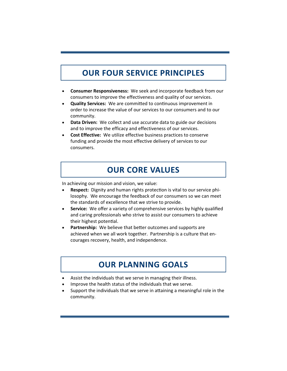# **OUR FOUR SERVICE PRINCIPLES**

- **Consumer Responsiveness:** We seek and incorporate feedback from our consumers to improve the effectiveness and quality of our services.
- **Quality Services:** We are committed to continuous improvement in order to increase the value of our services to our consumers and to our community.
- **Data Driven:** We collect and use accurate data to guide our decisions and to improve the efficacy and effectiveness of our services.
- **Cost Effective:** We utilize effective business practices to conserve funding and provide the most effective delivery of services to our consumers.

# **OUR CORE VALUES**

In achieving our mission and vision, we value:

- **Respect:** Dignity and human rights protection is vital to our service philosophy. We encourage the feedback of our consumers so we can meet the standards of excellence that we strive to provide.
- **Service:** We offer a variety of comprehensive services by highly qualified and caring professionals who strive to assist our consumers to achieve their highest potential.
- **Partnership:** We believe that better outcomes and supports are achieved when we all work together. Partnership is a culture that encourages recovery, health, and independence.

## **OUR PLANNING GOALS**

- Assist the individuals that we serve in managing their illness.
- Improve the health status of the individuals that we serve.
- Support the individuals that we serve in attaining a meaningful role in the community.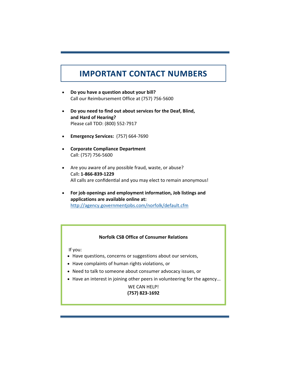# **IMPORTANT CONTACT NUMBERS**

- **Do you have a question about your bill?**  Call our Reimbursement Office at (757) 756‐5600
- **Do you need to find out about services for the Deaf, Blind, and Hard of Hearing?**  Please call TDD: (800) 552‐7917
- **Emergency Services:** (757) 664‐7690
- **Corporate Compliance Department** Call: (757) 756‐5600
- Are you aware of any possible fraud, waste, or abuse? Call**: 1‐866‐839‐1229**  All calls are confidential and you may elect to remain anonymous!
- **For job openings and employment information, Job listings and applications are available online at:** http://agency.governmentjobs.com/norfolk/default.cfm

#### **Norfolk CSB Office of Consumer Relations**

If you:

- Have questions, concerns or suggestions about our services,
- Have complaints of human rights violations, or
- Need to talk to someone about consumer advocacy issues, or
- Have an interest in joining other peers in volunteering for the agency...

WE CAN HELP! **(757) 823‐1692**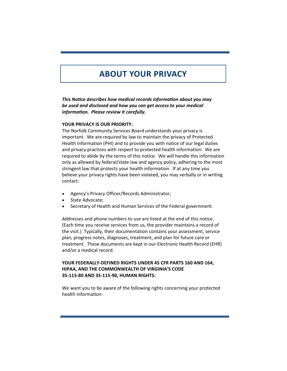# **ABOUT YOUR PRIVACY**

*This NoƟce describes how medical records informaƟon about you may be used and disclosed and how you can get access to your medical informaƟon. Please review it carefully.* 

#### **YOUR PRIVACY IS OUR PRIORITY:**

The Norfolk Community Services Board understands your privacy is important. We are required by law to maintain the privacy of Protected Health Information (PHI) and to provide you with notice of our legal duties and privacy practices with respect to protected health information. We are required to abide by the terms of this notice. We will handle this information only as allowed by federal/state law and agency policy, adhering to the most stringent law that protects your health information. If at any time you believe your privacy rights have been violated, you may verbally or in writing contact:

- Agency's Privacy Officer/Records Administrator;
- State Advocate;
- Secretary of Health and Human Services of the Federal government.

Addresses and phone numbers to use are listed at the end of this notice. (Each time you receive services from us, the provider maintains a record of the visit.) Typically, their documentation contains your assessment, service plan, progress notes, diagnoses, treatment, and plan for future care or treatment. These documents are kept in our Electronic Health Record (EHR) and/or a medical record.

#### **YOUR FEDERALLY‐DEFINED RIGHTS UNDER 45 CFR PARTS 160 AND 164, HIPAA, AND THE COMMONWEALTH OF VIRGINIA'S CODE 35‐115‐80 AND 35‐115‐90, HUMAN RIGHTS:**

We want you to be aware of the following rights concerning your protected health information: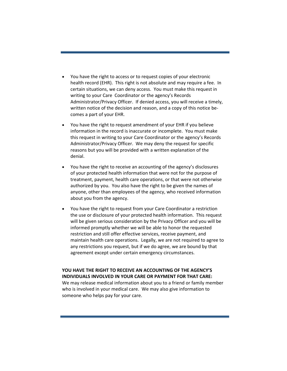- You have the right to access or to request copies of your electronic health record (EHR). This right is not absolute and may require a fee. In certain situations, we can deny access. You must make this request in writing to your Care Coordinator or the agency's Records Administrator/Privacy Officer. If denied access, you will receive a timely, written notice of the decision and reason, and a copy of this notice be‐ comes a part of your EHR.
- You have the right to request amendment of your EHR if you believe information in the record is inaccurate or incomplete. You must make this request in writing to your Care Coordinator or the agency's Records Administrator/Privacy Officer. We may deny the request for specific reasons but you will be provided with a written explanation of the denial.
- You have the right to receive an accounting of the agency's disclosures of your protected health information that were not for the purpose of treatment, payment, health care operations, or that were not otherwise authorized by you. You also have the right to be given the names of anyone, other than employees of the agency, who received information about you from the agency.
- You have the right to request from your Care Coordinator a restriction the use or disclosure of your protected health information. This request will be given serious consideration by the Privacy Officer and you will be informed promptly whether we will be able to honor the requested restriction and still offer effective services, receive payment, and maintain health care operations. Legally, we are not required to agree to any restrictions you request, but if we do agree, we are bound by that agreement except under certain emergency circumstances.

**YOU HAVE THE RIGHT TO RECEIVE AN ACCOUNTING OF THE AGENCY'S INDIVIDUALS INVOLVED IN YOUR CARE OR PAYMENT FOR THAT CARE:**  We may release medical information about you to a friend or family member who is involved in your medical care. We may also give information to someone who helps pay for your care.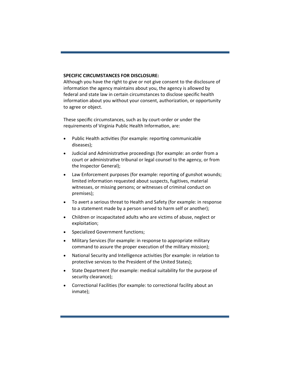#### **SPECIFIC CIRCUMSTANCES FOR DISCLOSURE:**

Although you have the right to give or not give consent to the disclosure of information the agency maintains about you, the agency is allowed by federal and state law in certain circumstances to disclose specific health information about you without your consent, authorization, or opportunity to agree or object.

These specific circumstances, such as by court‐order or under the requirements of Virginia Public Health Information, are:

- Public Health activities (for example: reporting communicable diseases);
- Judicial and Administrative proceedings (for example: an order from a court or administrative tribunal or legal counsel to the agency, or from the Inspector General);
- Law Enforcement purposes (for example: reporting of gunshot wounds; limited information requested about suspects, fugitives, material witnesses, or missing persons; or witnesses of criminal conduct on premises);
- To avert a serious threat to Health and Safety (for example: in response to a statement made by a person served to harm self or another);
- Children or incapacitated adults who are victims of abuse, neglect or exploitation;
- Specialized Government functions;
- Military Services (for example: in response to appropriate military command to assure the proper execution of the military mission);
- National Security and Intelligence activities (for example: in relation to protective services to the President of the United States);
- State Department (for example: medical suitability for the purpose of security clearance);
- Correctional Facilities (for example: to correctional facility about an inmate);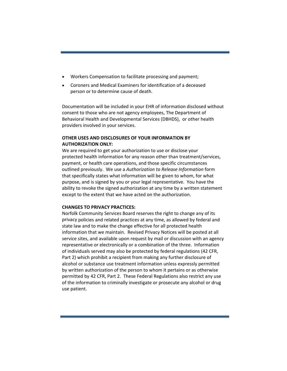- Workers Compensation to facilitate processing and payment;
- Coroners and Medical Examiners for identification of a deceased person or to determine cause of death.

Documentation will be included in your EHR of information disclosed without consent to those who are not agency employees, The Department of Behavioral Health and Developmental Services (DBHDS), or other health providers involved in your services.

#### **OTHER USES AND DISCLOSURES OF YOUR INFORMATION BY AUTHORIZATION ONLY:**

We are required to get your authorization to use or disclose your protected health information for any reason other than treatment/services, payment, or health care operations, and those specific circumstances outlined previously. We use a *Authorization to Release Information* form that specifically states what information will be given to whom, for what purpose, and is signed by you or your legal representative. You have the ability to revoke the signed authorization at any time by a written statement except to the extent that we have acted on the authorization.

#### **CHANGES TO PRIVACY PRACTICES:**

Norfolk Community Services Board reserves the right to change any of its privacy policies and related practices at any time, as allowed by federal and state law and to make the change effective for all protected health information that we maintain. Revised Privacy Notices will be posted at all service sites, and available upon request by mail or discussion with an agency representative or electronically or a combination of the three. Information of individuals served may also be protected by federal regulations (42 CFR, Part 2) which prohibit a recipient from making any further disclosure of alcohol or substance use treatment information unless expressly permitted by written authorization of the person to whom it pertains or as otherwise permitted by 42 CFR, Part 2. These Federal Regulations also restrict any use of the information to criminally investigate or prosecute any alcohol or drug use patient.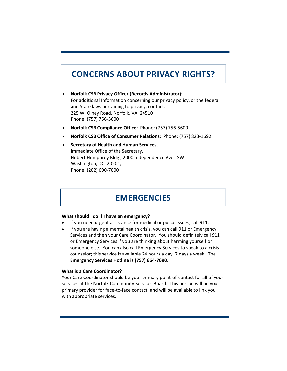# **CONCERNS ABOUT PRIVACY RIGHTS?**

- **Norfolk CSB Privacy Officer (Records Administrator):**  For additional Information concerning our privacy policy, or the federal and State laws pertaining to privacy, contact: 225 W. Olney Road, Norfolk, VA, 24510 Phone: (757) 756‐5600
- **Norfolk CSB Compliance Office:** Phone**:** (757) 756‐5600
- **Norfolk CSB Office of Consumer Relations**: Phone: (757) 823‐1692
- **Secretary of Health and Human Services,**  Immediate Office of the Secretary, Hubert Humphrey Bldg., 2000 Independence Ave. SW Washington, DC, 20201, Phone: (202) 690‐7000

### **EMERGENCIES**

#### **What should I do if I have an emergency?**

- If you need urgent assistance for medical or police issues, call 911.
- If you are having a mental health crisis, you can call 911 or Emergency Services and then your Care Coordinator. You should definitely call 911 or Emergency Services if you are thinking about harming yourself or someone else. You can also call Emergency Services to speak to a crisis counselor; this service is available 24 hours a day, 7 days a week. The **Emergency Services Hotline is (757) 664‐7690**.

#### **What is a Care Coordinator?**

Your Care Coordinator should be your primary point‐of‐contact for all of your services at the Norfolk Community Services Board. This person will be your primary provider for face‐to‐face contact, and will be available to link you with appropriate services.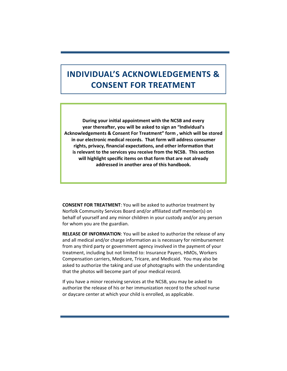# **INDIVIDUAL'S ACKNOWLEDGEMENTS & CONSENT FOR TREATMENT**

**During your iniƟal appointment with the NCSB and every year thereafter, you will be asked to sign an "Individual's Acknowledgements & Consent For Treatment" form , which will be stored in our electronic medical records. That form will address consumer rights, privacy, financial expectaƟons, and other informaƟon that**  is relevant to the services you receive from the NCSB. This section **will highlight specific items on that form that are not already addressed in another area of this handbook.** 

**CONSENT FOR TREATMENT**: You will be asked to authorize treatment by Norfolk Community Services Board and/or affiliated staff member(s) on behalf of yourself and any minor children in your custody and/or any person for whom you are the guardian.

**RELEASE OF INFORMATION**: You will be asked to authorize the release of any and all medical and/or charge information as is necessary for reimbursement from any third party or government agency involved in the payment of your treatment, including but not limited to: Insurance Payers, HMOs, Workers Compensation carriers, Medicare, Tricare, and Medicaid. You may also be asked to authorize the taking and use of photographs with the understanding that the photos will become part of your medical record.

If you have a minor receiving services at the NCSB, you may be asked to authorize the release of his or her immunization record to the school nurse or daycare center at which your child is enrolled, as applicable.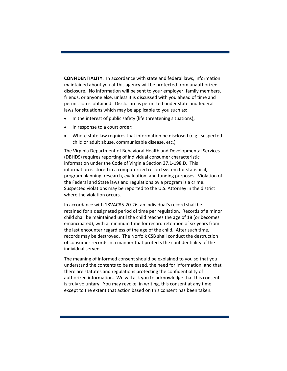**CONFIDENTIALITY**: In accordance with state and federal laws, information maintained about you at this agency will be protected from unauthorized disclosure. No information will be sent to your employer, family members, friends, or anyone else, unless it is discussed with you ahead of time and permission is obtained. Disclosure is permitted under state and federal laws for situations which may be applicable to you such as:

- In the interest of public safety (life threatening situations);
- In response to a court order;
- Where state law requires that information be disclosed (e.g., suspected child or adult abuse, communicable disease, etc.)

The Virginia Department of Behavioral Health and Developmental Services (DBHDS) requires reporting of individual consumer characteristic information under the Code of Virginia Section 37.1‐198.D. This information is stored in a computerized record system for statistical, program planning, research, evaluation, and funding purposes. Violation of the Federal and State laws and regulations by a program is a crime. Suspected violations may be reported to the U.S. Attorney in the district where the violation occurs.

In accordance with 18VAC85‐20‐26, an individual's record shall be retained for a designated period of time per regulation. Records of a minor child shall be maintained until the child reaches the age of 18 (or becomes emancipated), with a minimum time for record retention of six years from the last encounter regardless of the age of the child. After such time, records may be destroyed. The Norfolk CSB shall conduct the destruction of consumer records in a manner that protects the confidentiality of the individual served.

The meaning of informed consent should be explained to you so that you understand the contents to be released, the need for information, and that there are statutes and regulations protecting the confidentiality of authorized information. We will ask you to acknowledge that this consent is truly voluntary. You may revoke, in writing, this consent at any time except to the extent that action based on this consent has been taken.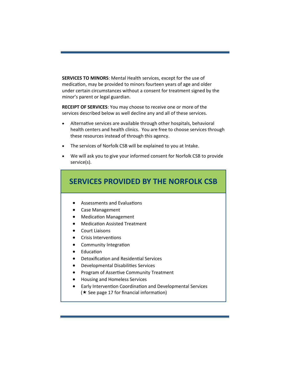**SERVICES TO MINORS**: Mental Health services, except for the use of medication, may be provided to minors fourteen years of age and older under certain circumstances without a consent for treatment signed by the minor's parent or legal guardian.

**RECEIPT OF SERVICES**: You may choose to receive one or more of the services described below as well decline any and all of these services.

- Alternative services are available through other hospitals, behavioral health centers and health clinics. You are free to choose services through these resources instead of through this agency.
- The services of Norfolk CSB will be explained to you at Intake.
- We will ask you to give your informed consent for Norfolk CSB to provide service(s).

![](_page_13_Figure_5.jpeg)

 $(\star$  See page 17 for financial information)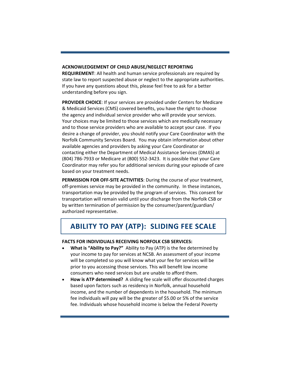#### **ACKNOWLEDGEMENT OF CHILD ABUSE/NEGLECT REPORTING**

**REQUIREMENT**: All health and human service professionals are required by state law to report suspected abuse or neglect to the appropriate authorities. If you have any questions about this, please feel free to ask for a better understanding before you sign.

**PROVIDER CHOICE**: If your services are provided under Centers for Medicare & Medicaid Services (CMS) covered benefits, you have the right to choose the agency and individual service provider who will provide your services. Your choices may be limited to those services which are medically necessary and to those service providers who are available to accept your case. If you desire a change of provider, you should notify your Care Coordinator with the Norfolk Community Services Board. You may obtain information about other available agencies and providers by asking your Care Coordinator or contacting either the Department of Medical Assistance Services (DMAS) at (804) 786‐7933 or Medicare at (800) 552‐3423. It is possible that your Care Coordinator may refer you for additional services during your episode of care based on your treatment needs.

**PERMISSION FOR OFF‐SITE ACTIVITIES**: During the course of your treatment, off‐premises service may be provided in the community. In these instances, transportation may be provided by the program of services. This consent for transportation will remain valid until your discharge from the Norfolk CSB or by written termination of permission by the consumer/parent/guardian/ authorized representative.

## **ABILITY TO PAY (ATP): SLIDING FEE SCALE**

#### **FACTS FOR INDIVIDUALS RECEIVING NORFOLK CSB SERVICES:**

- **What is "Ability to Pay?"** Ability to Pay (ATP) is the fee determined by your income to pay for services at NCSB. An assessment of your income will be completed so you will know what your fee for services will be prior to you accessing those services. This will benefit low income consumers who need services but are unable to afford them.
- **How is ATP determined?** A sliding fee scale will offer discounted charges based upon factors such as residency in Norfolk, annual household income, and the number of dependents in the household. The minimum fee individuals will pay will be the greater of \$5.00 or 5% of the service fee. Individuals whose household income is below the Federal Poverty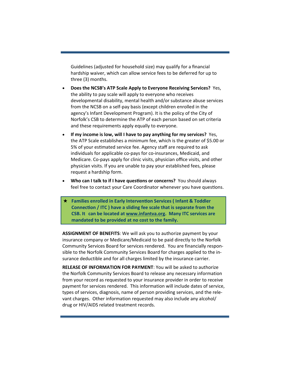Guidelines (adjusted for household size) may qualify for a financial hardship waiver, which can allow service fees to be deferred for up to three (3) months.

- **Does the NCSB's ATP Scale Apply to Everyone Receiving Services?** Yes, the ability to pay scale will apply to everyone who receives developmental disability, mental health and/or substance abuse services from the NCSB on a self‐pay basis (except children enrolled in the agency's Infant Development Program). It is the policy of the City of Norfolk's CSB to determine the ATP of each person based on set criteria and these requirements apply equally to everyone.
- **If my income is low, will I have to pay anything for my services?** Yes, the ATP Scale establishes a minimum fee, which is the greater of \$5.00 or 5% of your estimated service fee. Agency staff are required to ask individuals for applicable co‐pays for co‐insurances, Medicaid, and Medicare. Co‐pays apply for clinic visits, physician office visits, and other physician visits. If you are unable to pay your established fees, please request a hardship form.
- **Who can I talk to if I have questions or concerns?** You should always feel free to contact your Care Coordinator whenever you have questions.
- **★ Families enrolled in Early Intervention Services (Infant & Toddler ConnecƟon / ITC ) have a sliding fee scale that is separate from the CSB. It can be located at www.infantva.org. Many ITC services are mandated to be provided at no cost to the family.**

**ASSIGNMENT OF BENEFITS**: We will ask you to authorize payment by your insurance company or Medicare/Medicaid to be paid directly to the Norfolk Community Services Board for services rendered. You are financially respon‐ sible to the Norfolk Community Services Board for charges applied to the in‐ surance deductible and for all charges limited by the insurance carrier.

**RELEASE OF INFORMATION FOR PAYMENT**: You will be asked to authorize the Norfolk Community Services Board to release any necessary information from your record as requested to your insurance provider in order to receive payment for services rendered. This information will include dates of service, types of services, diagnosis, name of person providing services, and the rele‐ vant charges. Other information requested may also include any alcohol/ drug or HIV/AIDS related treatment records.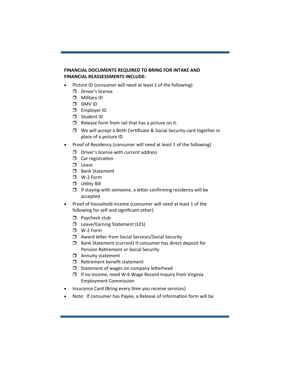#### **FINANCIAL DOCUMENTS REQUIRED TO BRING FOR INTAKE AND FINANCIAL REASSESSMENTS INCLUDE:**

- Picture ID (consumer will need at least 1 of the following)
	- D Driver's license
	- Military ID
	- DMV ID
	- Employer ID
	- □ Student ID
	- $\Box$  Release form from Jail that has a picture on it.
	- $\Box$  We will accept a Birth Certificate & Social Security card together in place of a picture ID
- Proof of Residency (consumer will need at least 1 of the following)
	- $\square$  Driver's license with current address
	- $\Box$  Car registration
	- $\square$  Lease
	- **D** Bank Statement
	- W‐2 Form
	- **D** Utility Bill
	- $\Box$  If staying with someone, a letter confirming residency will be accepted
- Proof of household income (consumer will need at least 1 of the following for self and significant other)
	- $\Box$  Paycheck stub
	- □ Leave/Earning Statement (LES)
	- W‐2 Form
	- □ Award letter from Social Services/Social Security
	- $\Box$  Bank Statement (current) if consumer has direct deposit for Pension Retirement or Social Security
	- **D** Annuity statement
	- $\Box$  Retirement benefit statement
	- $\Box$  Statement of wages on company letterhead
	- If no income, need W‐6 Wage Record Inquiry from Virginia Employment Commission
- Insurance Card (Bring every time you receive services)
- Note: If consumer has Payee, a Release of Information form will be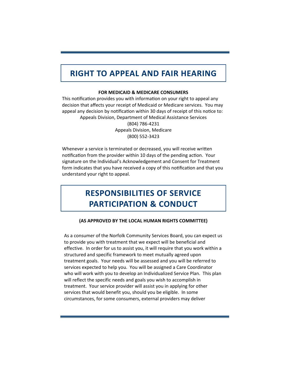# **RIGHT TO APPEAL AND FAIR HEARING**

#### **FOR MEDICAID & MEDICARE CONSUMERS**

This notification provides you with information on your right to appeal any decision that affects your receipt of Medicaid or Medicare services. You may appeal any decision by notification within 30 days of receipt of this notice to: Appeals Division, Department of Medical Assistance Services (804) 786‐4231 Appeals Division, Medicare (800) 552‐3423

Whenever a service is terminated or decreased, you will receive written notification from the provider within 10 days of the pending action. Your signature on the Individual's Acknowledgement and Consent for Treatment form indicates that you have received a copy of this notification and that you understand your right to appeal.

# **RESPONSIBILITIES OF SERVICE PARTICIPATION & CONDUCT**

#### **(AS APPROVED BY THE LOCAL HUMAN RIGHTS COMMITTEE)**

As a consumer of the Norfolk Community Services Board, you can expect us to provide you with treatment that we expect will be beneficial and effective. In order for us to assist you, it will require that you work within a structured and specific framework to meet mutually agreed upon treatment goals. Your needs will be assessed and you will be referred to services expected to help you. You will be assigned a Care Coordinator who will work with you to develop an Individualized Service Plan. This plan will reflect the specific needs and goals you wish to accomplish in treatment. Your service provider will assist you in applying for other services that would benefit you, should you be eligible. In some circumstances, for some consumers, external providers may deliver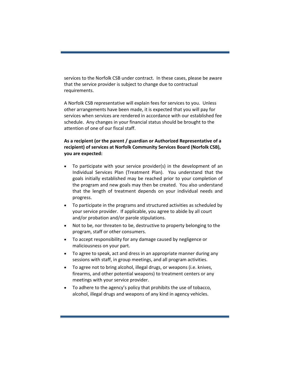services to the Norfolk CSB under contract. In these cases, please be aware that the service provider is subject to change due to contractual requirements.

A Norfolk CSB representative will explain fees for services to you. Unless other arrangements have been made, it is expected that you will pay for services when services are rendered in accordance with our established fee schedule. Any changes in your financial status should be brought to the attention of one of our fiscal staff.

#### **As a recipient (or the parent / guardian or Authorized Representative of a recipient) of services at Norfolk Community Services Board (Norfolk CSB), you are expected:**

- To participate with your service provider(s) in the development of an Individual Services Plan (Treatment Plan). You understand that the goals initially established may be reached prior to your completion of the program and new goals may then be created. You also understand that the length of treatment depends on your individual needs and progress.
- To participate in the programs and structured activities as scheduled by your service provider. If applicable, you agree to abide by all court and/or probation and/or parole stipulations.
- Not to be, nor threaten to be, destructive to property belonging to the program, staff or other consumers.
- To accept responsibility for any damage caused by negligence or maliciousness on your part.
- To agree to speak, act and dress in an appropriate manner during any sessions with staff, in group meetings, and all program activities.
- To agree not to bring alcohol, illegal drugs, or weapons (i.e. knives, firearms, and other potential weapons) to treatment centers or any meetings with your service provider.
- To adhere to the agency's policy that prohibits the use of tobacco, alcohol, illegal drugs and weapons of any kind in agency vehicles.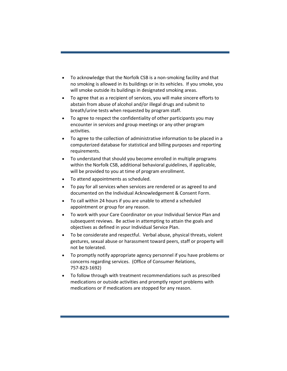- To acknowledge that the Norfolk CSB is a non‐smoking facility and that no smoking is allowed in its buildings or in its vehicles. If you smoke, you will smoke outside its buildings in designated smoking areas.
- To agree that as a recipient of services, you will make sincere efforts to abstain from abuse of alcohol and/or illegal drugs and submit to breath/urine tests when requested by program staff.
- To agree to respect the confidentiality of other participants you may encounter in services and group meetings or any other program activities.
- To agree to the collection of administrative information to be placed in a computerized database for statistical and billing purposes and reporting requirements.
- To understand that should you become enrolled in multiple programs within the Norfolk CSB, additional behavioral guidelines, if applicable, will be provided to you at time of program enrollment.
- To attend appointments as scheduled.
- To pay for all services when services are rendered or as agreed to and documented on the Individual Acknowledgement & Consent Form.
- To call within 24 hours if you are unable to attend a scheduled appointment or group for any reason.
- To work with your Care Coordinator on your Individual Service Plan and subsequent reviews. Be active in attempting to attain the goals and objectives as defined in your Individual Service Plan.
- To be considerate and respectful. Verbal abuse, physical threats, violent gestures, sexual abuse or harassment toward peers, staff or property will not be tolerated.
- To promptly notify appropriate agency personnel if you have problems or concerns regarding services. (Office of Consumer Relations, 757‐823‐1692)
- To follow through with treatment recommendations such as prescribed medications or outside activities and promptly report problems with medications or if medications are stopped for any reason.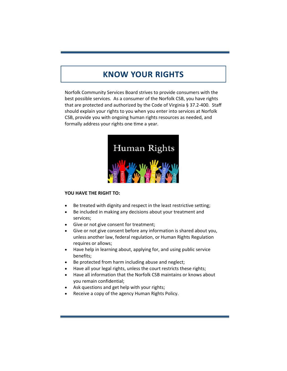# **KNOW YOUR RIGHTS**

Norfolk Community Services Board strives to provide consumers with the best possible services. As a consumer of the Norfolk CSB, you have rights that are protected and authorized by the Code of Virginia § 37.2‐400. Staff should explain your rights to you when you enter into services at Norfolk CSB, provide you with ongoing human rights resources as needed, and formally address your rights one time a year.

![](_page_20_Picture_2.jpeg)

#### **YOU HAVE THE RIGHT TO:**

- Be treated with dignity and respect in the least restrictive setting;
- Be included in making any decisions about your treatment and services;
- Give or not give consent for treatment;
- Give or not give consent before any information is shared about you, unless another law, federal regulation, or Human Rights Regulation requires or allows;
- Have help in learning about, applying for, and using public service benefits;
- Be protected from harm including abuse and neglect;
- Have all your legal rights, unless the court restricts these rights;
- Have all information that the Norfolk CSB maintains or knows about you remain confidential;
- Ask questions and get help with your rights;
- Receive a copy of the agency Human Rights Policy.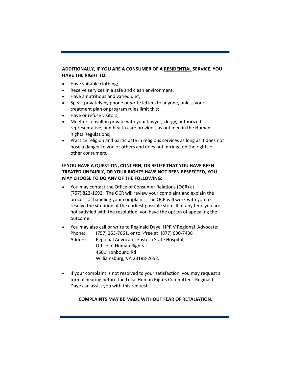#### **ADDITIONALLY, IF YOU ARE A CONSUMER OF A RESIDENTIAL SERVICE, YOU HAVE THE RIGHT TO:**

- Have suitable clothing;
- Receive services in a safe and clean environment;
- Have a nutritious and varied diet:
- Speak privately by phone or write letters to anyone, unless your treatment plan or program rules limit this;
- Have or refuse visitors;
- Meet or consult in private with your lawyer, clergy, authorized representative, and health care provider, as outlined in the Human Rights Regulations;
- Practice religion and participate in religious services as long as it does not pose a danger to you or others and does not infringe on the rights of other consumers.

#### **IF YOU HAVE A QUESTION, CONCERN, OR BELIEF THAT YOU HAVE BEEN TREATED UNFAIRLY, OR YOUR RIGHTS HAVE NOT BEEN RESPECTED, YOU MAY CHOOSE TO DO ANY OF THE FOLLOWING:**

- You may contact the Office of Consumer Relations (OCR) at (757) 823‐1692. The OCR will review your complaint and explain the process of handling your complaint. The OCR will work with you to resolve the situation at the earliest possible step. If at any time you are not satisfied with the resolution, you have the option of appealing the outcome.
- You may also call or write to Reginald Daye, HPR V Regional Advocate: Phone: (757) 253‐7061, or toll‐free at: (877) 600‐7436 Address: Regional Advocate, Eastern State Hospital, Office of Human Rights 4601 Ironbound Rd Williamsburg, VA 23188‐2652.
- If your complaint is not resolved to your satisfaction, you may request a formal hearing before the Local Human Rights Committee. Reginald Daye can assist you with this request.

#### **COMPLAINTS MAY BE MADE WITHOUT FEAR OF RETALIATION.**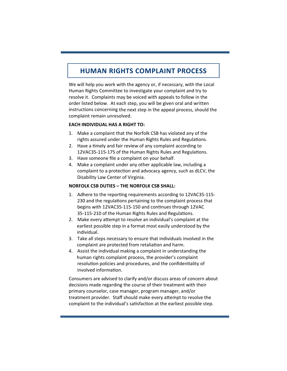### **HUMAN RIGHTS COMPLAINT PROCESS**

We will help you work with the agency or, if necessary, with the Local Human Rights Committee to investigate your complaint and try to resolve it. Complaints may be voiced with appeals to follow in the order listed below. At each step, you will be given oral and written instructions concerning the next step in the appeal process, should the complaint remain unresolved.

#### **EACH INDIVIDUAL HAS A RIGHT TO:**

- 1. Make a complaint that the Norfolk CSB has violated any of the rights assured under the Human Rights Rules and Regulations.
- 2. Have a timely and fair review of any complaint according to 12VAC35-115-175 of the Human Rights Rules and Regulations.
- 3. Have someone file a complaint on your behalf.
- 4. Make a complaint under any other applicable law, including a complaint to a protection and advocacy agency, such as dLCV, the Disability Law Center of Virginia.

#### **NORFOLK CSB DUTIES – THE NORFOLK CSB SHALL:**

- 1. Adhere to the reporting requirements according to 12VAC35-115-230 and the regulations pertaining to the complaint process that begins with 12VAC35-115-150 and continues through 12VAC 35-115-210 of the Human Rights Rules and Regulations.
- 2. Make every attempt to resolve an individual's complaint at the earliest possible step in a format most easily understood by the individual.
- 3. Take all steps necessary to ensure that individuals involved in the complaint are protected from retaliation and harm.
- 4. Assist the individual making a complaint in understanding the human rights complaint process, the provider's complaint resolution policies and procedures, and the confidentiality of involved information.

Consumers are advised to clarify and/or discuss areas of concern about decisions made regarding the course of their treatment with their primary counselor, case manager, program manager, and/or treatment provider. Staff should make every attempt to resolve the complaint to the individual's satisfaction at the earliest possible step.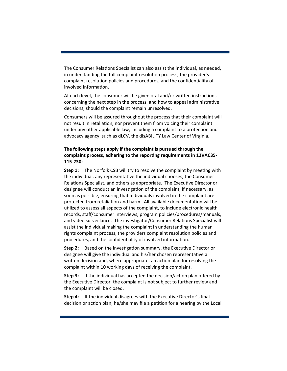The Consumer Relations Specialist can also assist the individual, as needed, in understanding the full complaint resolution process, the provider's complaint resolution policies and procedures, and the confidentiality of involved information.

At each level, the consumer will be given oral and/or written instructions concerning the next step in the process, and how to appeal administrative decisions, should the complaint remain unresolved.

Consumers will be assured throughout the process that their complaint will not result in retaliation, nor prevent them from voicing their complaint under any other applicable law, including a complaint to a protection and advocacy agency, such as dLCV, the disABILITY Law Center of Virginia.

#### **The following steps apply if the complaint is pursued through the complaint process, adhering to the reporƟng requirements in 12VAC35‐ 115‐230:**

**Step 1:** The Norfolk CSB will try to resolve the complaint by meeting with the individual, any representaƟve the individual chooses, the Consumer Relations Specialist, and others as appropriate. The Executive Director or designee will conduct an investigation of the complaint, if necessary, as soon as possible, ensuring that individuals involved in the complaint are protected from retaliation and harm. All available documentation will be utilized to assess all aspects of the complaint, to include electronic health records, staff/consumer interviews, program policies/procedures/manuals, and video surveillance. The investigator/Consumer Relations Specialist will assist the individual making the complaint in understanding the human rights complaint process, the providers complaint resolution policies and procedures, and the confidentiality of involved information.

**Step 2:** Based on the investigation summary, the Executive Director or designee will give the individual and his/her chosen representative a written decision and, where appropriate, an action plan for resolving the complaint within 10 working days of receiving the complaint.

**Step 3:** If the individual has accepted the decision/action plan offered by the Executive Director, the complaint is not subject to further review and the complaint will be closed.

**Step 4:** If the individual disagrees with the Executive Director's final decision or action plan, he/she may file a petition for a hearing by the Local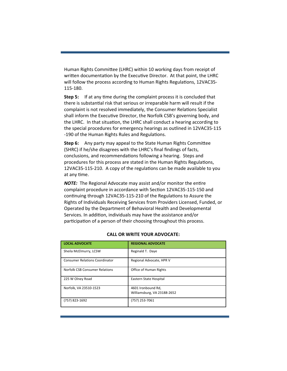Human Rights Committee (LHRC) within 10 working days from receipt of written documentation by the Executive Director. At that point, the LHRC will follow the process according to Human Rights Regulations, 12VAC35-115‐180.

**Step 5:** If at any time during the complaint process it is concluded that there is substantial risk that serious or irreparable harm will result if the complaint is not resolved immediately, the Consumer Relations Specialist shall inform the Executive Director, the Norfolk CSB's governing body, and the LHRC. In that situation, the LHRC shall conduct a hearing according to the special procedures for emergency hearings as outlined in 12VAC35‐115 -190 of the Human Rights Rules and Regulations.

**Step 6:** Any party may appeal to the State Human Rights Committee (SHRC) if he/she disagrees with the LHRC's final findings of facts, conclusions, and recommendations following a hearing. Steps and procedures for this process are stated in the Human Rights Regulations, 12VAC35-115-210. A copy of the regulations can be made available to you at any time.

**NOTE:** The Regional Advocate may assist and/or monitor the entire complaint procedure in accordance with Section 12VAC35-115-150 and continuing through 12VAC35-115-210 of the Regulations to Assure the Rights of Individuals Receiving Services from Providers Licensed, Funded, or Operated by the Department of Behavioral Health and Developmental Services. In addition, individuals may have the assistance and/or participation of a person of their choosing throughout this process.

| <b>LOCAL ADVOCATE</b>                 | <b>REGIONAL ADVOCATE</b>                          |
|---------------------------------------|---------------------------------------------------|
| Sheila McElmurry, LCSW                | Reginald T. Daye                                  |
| <b>Consumer Relations Coordinator</b> | Regional Advocate, HPR V                          |
| Norfolk CSB Consumer Relations        | <b>Office of Human Rights</b>                     |
| 225 W Olney Road                      | Eastern State Hospital                            |
| Norfolk, VA 23510-1523                | 4601 Ironbound Rd.<br>Williamsburg, VA 23188-2652 |
| (757) 823-1692                        | (757) 253-7061                                    |

#### **CALL OR WRITE YOUR ADVOCATE:**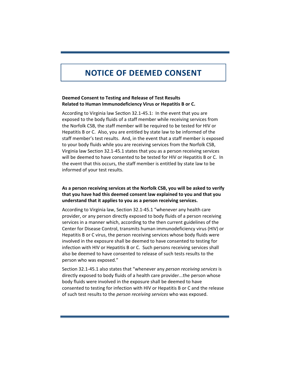# **NOTICE OF DEEMED CONSENT**

#### **Deemed Consent to Testing and Release of Test Results Related to Human Immunodeficiency Virus or Hepatitis B or C.**

According to Virginia law Section 32.1-45.1: In the event that you are exposed to the body fluids of a staff member while receiving services from the Norfolk CSB, the staff member will be required to be tested for HIV or Hepatitis B or C. Also, you are entitled by state law to be informed of the staff member's test results. And, in the event that a staff member is exposed to your body fluids while you are receiving services from the Norfolk CSB, Virginia law Section 32.1‐45.1 states that you as a person receiving services will be deemed to have consented to be tested for HIV or Hepatitis B or C. In the event that this occurs, the staff member is entitled by state law to be informed of your test results.

#### **As a person receiving services at the Norfolk CSB, you will be asked to verify that you have had this deemed consent law explained to you and that you understand that it applies to you as a person receiving services.**

According to Virginia law, Section 32.1‐45.1 "whenever any health care provider, or any person directly exposed to body fluids of a person receiving services in a manner which, according to the then current guidelines of the Center for Disease Control, transmits human immunodeficiency virus (HIV) or Hepatitis B or C virus, the person receiving services whose body fluids were involved in the exposure shall be deemed to have consented to testing for infection with HIV or Hepatitis B or C. Such persons receiving services shall also be deemed to have consented to release of such tests results to the person who was exposed."

Section 32.1‐45.1 also states that "whenever any *person receiving services* is directly exposed to body fluids of a health care provider...the person whose body fluids were involved in the exposure shall be deemed to have consented to testing for infection with HIV or Hepatitis B or C and the release of such test results to the *person receiving services* who was exposed.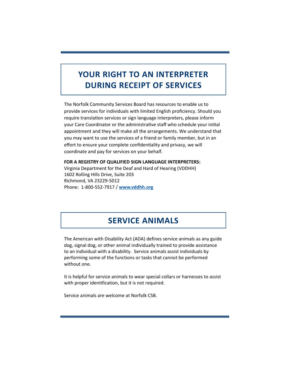# **YOUR RIGHT TO AN INTERPRETER DURING RECEIPT OF SERVICES**

The Norfolk Community Services Board has resources to enable us to provide services for individuals with limited English proficiency. Should you require translation services or sign language interpreters, please inform your Care Coordinator or the administrative staff who schedule your initial appointment and they will make all the arrangements. We understand that you may want to use the services of a friend or family member, but in an effort to ensure your complete confidentiality and privacy, we will coordinate and pay for services on your behalf.

**FOR A REGISTRY OF QUALIFIED SIGN LANGUAGE INTERPRETERS:**  Virginia Department for the Deaf and Hard of Hearing (VDDHH) 1602 Rolling Hills Drive, Suite 203 Richmond, VA 23229‐5012 Phone: 1‐800‐552‐7917 / **www.vddhh.org**

## **SERVICE ANIMALS**

The American with Disability Act (ADA) defines service animals as any guide dog, signal dog, or other animal individually trained to provide assistance to an individual with a disability. Service animals assist individuals by performing some of the functions or tasks that cannot be performed without one.

It is helpful for service animals to wear special collars or harnesses to assist with proper identification, but it is not required.

Service animals are welcome at Norfolk CSB.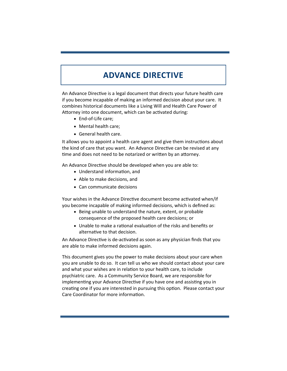# **ADVANCE DIRECTIVE**

An Advance Directive is a legal document that directs your future health care if you become incapable of making an informed decision about your care. It combines historical documents like a Living Will and Health Care Power of Attorney into one document, which can be activated during:

- End-of-Life care;
- Mental health care;
- General health care.

It allows you to appoint a health care agent and give them instructions about the kind of care that you want. An Advance Directive can be revised at any time and does not need to be notarized or written by an attorney.

An Advance Directive should be developed when you are able to:

- Understand information, and
- Able to make decisions, and
- Can communicate decisions

Your wishes in the Advance Directive document become activated when/if you become incapable of making informed decisions, which is defined as:

- Being unable to understand the nature, extent, or probable consequence of the proposed health care decisions; or
- Unable to make a rational evaluation of the risks and benefits or alternative to that decision.

An Advance Directive is de-activated as soon as any physician finds that you are able to make informed decisions again.

This document gives you the power to make decisions about your care when you are unable to do so. It can tell us who we should contact about your care and what your wishes are in relation to your health care, to include psychiatric care. As a Community Service Board, we are responsible for implementing your Advance Directive if you have one and assisting you in creating one if you are interested in pursuing this option. Please contact your Care Coordinator for more information.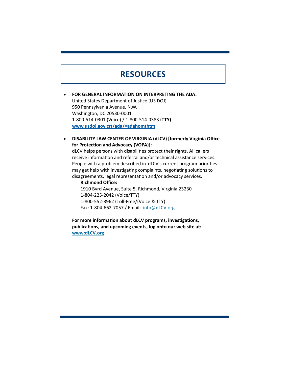### **RESOURCES**

 **FOR GENERAL INFORMATION ON INTERPRETING THE ADA:**  United States Department of Justice (US DOJ) 950 Pennsylvania Avenue, N.W. Washington, DC 20530‐0001 1‐800‐514‐0301 (Voice) / 1‐800‐514‐0383 (**TTY) www.usdoj.govicrt/ada/=adahomthtm**

 **DISABILITY LAW CENTER OF VIRGINIA (dLCV) [formerly Virginia Office for ProtecƟon and Advocacy (VOPA)]:** 

dLCV helps persons with disabilities protect their rights. All callers receive information and referral and/or technical assistance services. People with a problem described in dLCV's current program priorities may get help with investigating complaints, negotiating solutions to disagreements, legal representation and/or advocacy services.

 **Richmond Office:**  1910 Byrd Avenue, Suite 5, Richmond, Virginia 23230 1‐804‐225‐2042 (Voice/TTY) 1‐800‐552‐3962 (Toll‐Free/(Voice & TTY) Fax: 1‐804‐662‐7057 / Email: info@dLCV.org

 **For more informaƟon about dLCV programs, invesƟgaƟons, publicaƟons, and upcoming events, log onto our web site at: www:dLCV.org**